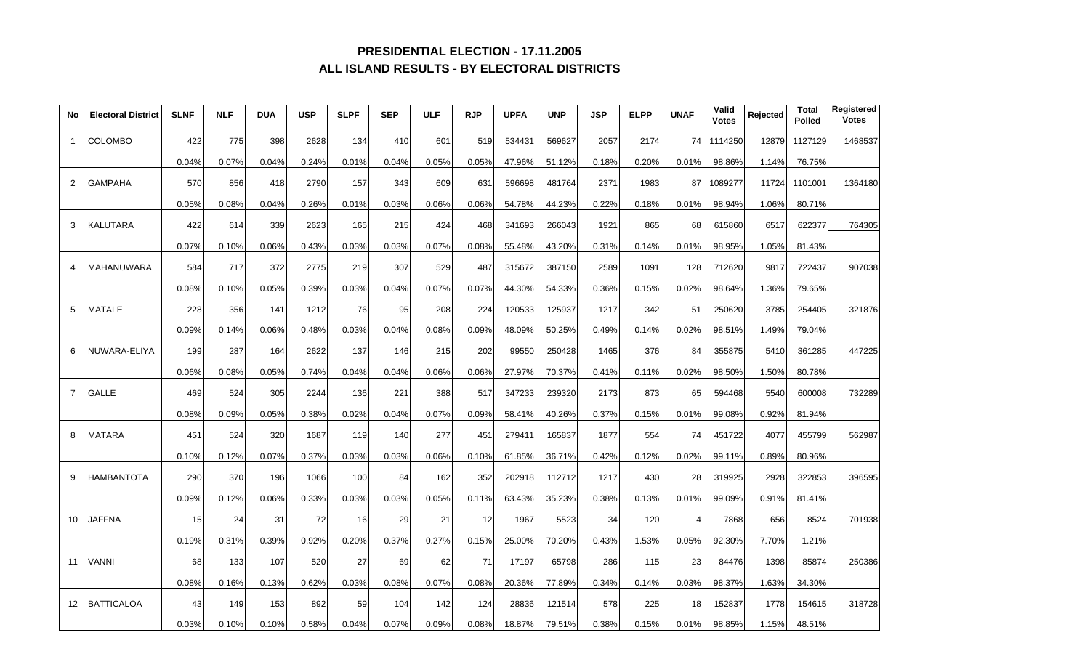## **PRESIDENTIAL ELECTION - 17.11.2005 ALL ISLAND RESULTS - BY ELECTORAL DISTRICTS**

| <b>No</b>             | <b>Electoral District</b> | <b>SLNF</b> | <b>NLF</b> | <b>DUA</b> | <b>USP</b> | <b>SLPF</b> | <b>SEP</b> | <b>ULF</b> | <b>RJP</b> | <b>UPFA</b> | <b>UNP</b> | <b>JSP</b> | <b>ELPP</b> | <b>UNAF</b> | Valid        | Rejected | <b>Total</b> | Registered   |
|-----------------------|---------------------------|-------------|------------|------------|------------|-------------|------------|------------|------------|-------------|------------|------------|-------------|-------------|--------------|----------|--------------|--------------|
|                       |                           |             |            |            |            |             |            |            |            |             |            |            |             |             | <b>Votes</b> |          | Polled       | <b>Votes</b> |
| $\overline{1}$        | <b>COLOMBO</b>            | 422         | 775        | 398        | 2628       | 134         | 410        | 601        | 519        | 534431      | 569627     | 2057       | 2174        | 74          | 1114250      | 12879    | 1127129      | 1468537      |
|                       |                           | 0.04%       | 0.07%      | 0.04%      | 0.24%      | 0.01%       | 0.04%      | 0.05%      | 0.05%      | 47.96%      | 51.12%     | 0.18%      | 0.20%       | 0.01%       | 98.86%       | 1.14%    | 76.75%       |              |
| $\overline{2}$        | <b>GAMPAHA</b>            | 570         | 856        | 418        | 2790       | 157         | 343        | 609        | 631        | 596698      | 481764     | 2371       | 1983        | 87          | 1089277      | 11724    | 1101001      | 1364180      |
|                       |                           | 0.05%       | 0.08%      | 0.04%      | 0.26%      | 0.01%       | 0.03%      | 0.06%      | 0.06%      | 54.78%      | 44.23%     | 0.22%      | 0.18%       | 0.01%       | 98.94%       | 1.06%    | 80.71%       |              |
| 3                     | <b>KALUTARA</b>           | 422         | 614        | 339        | 2623       | 165         | 215        | 424        | 468        | 341693      | 266043     | 1921       | 865         | 68          | 615860       | 6517     | 622377       | 764305       |
|                       |                           | 0.07%       | 0.10%      | 0.06%      | 0.43%      | 0.03%       | 0.03%      | 0.07%      | 0.08%      | 55.48%      | 43.20%     | 0.31%      | 0.14%       | 0.01%       | 98.95%       | 1.05%    | 81.43%       |              |
| $\boldsymbol{\Delta}$ | <b>MAHANUWARA</b>         | 584         | 717        | 372        | 2775       | 219         | 307        | 529        | 487        | 315672      | 387150     | 2589       | 1091        | 128         | 712620       | 9817     | 722437       | 907038       |
|                       |                           | 0.08%       | 0.10%      | 0.05%      | 0.39%      | 0.03%       | 0.04%      | 0.07%      | 0.07%      | 44.30%      | 54.33%     | 0.36%      | 0.15%       | 0.02%       | 98.64%       | 1.36%    | 79.65%       |              |
|                       |                           |             |            |            |            |             |            |            |            |             |            |            |             |             |              |          |              |              |
| 5                     | <b>MATALE</b>             | 228         | 356        | 141        | 1212       | 76          | 95         | 208        | 224        | 120533      | 125937     | 1217       | 342         | 51          | 250620       | 3785     | 254405       | 321876       |
|                       |                           | 0.09%       | 0.14%      | 0.06%      | 0.48%      | 0.03%       | 0.04%      | 0.08%      | 0.09%      | 48.09%      | 50.25%     | 0.49%      | 0.14%       | 0.02%       | 98.51%       | 1.49%    | 79.04%       |              |
| 6                     | NUWARA-ELIYA              | 199         | 287        | 164        | 2622       | 137         | 146        | 215        | 202        | 99550       | 250428     | 1465       | 376         | 84          | 355875       | 5410     | 361285       | 447225       |
|                       |                           | 0.06%       | 0.08%      | 0.05%      | 0.74%      | 0.04%       | 0.04%      | 0.06%      | 0.06%      | 27.97%      | 70.37%     | 0.41%      | 0.11%       | 0.02%       | 98.50%       | 1.50%    | 80.78%       |              |
| $\overline{7}$        | <b>GALLE</b>              | 469         | 524        | 305        | 2244       | 136         | 221        | 388        | 517        | 347233      | 239320     | 2173       | 873         | 65          | 594468       | 5540     | 600008       | 732289       |
|                       |                           | 0.08%       | 0.09%      | 0.05%      | 0.38%      | 0.02%       | 0.04%      | 0.07%      | 0.09%      | 58.41%      | 40.26%     | 0.37%      | 0.15%       | 0.01%       | 99.08%       | 0.92%    | 81.94%       |              |
| 8                     | <b>MATARA</b>             | 451         | 524        | 320        | 1687       | 119         | 140        | 277        | 451        | 279411      | 165837     | 1877       | 554         | 74          | 451722       | 4077     | 455799       | 562987       |
|                       |                           | 0.10%       | 0.12%      | 0.07%      | 0.37%      | 0.03%       | 0.03%      | 0.06%      | 0.10%      | 61.85%      | 36.71%     | 0.42%      | 0.12%       | 0.02%       | 99.11%       | 0.89%    | 80.96%       |              |
| 9                     | <b>HAMBANTOTA</b>         | 290         | 370        | 196        | 1066       | 100         | 84         | 162        | 352        | 202918      | 112712     | 1217       | 430         | 28          | 319925       | 2928     | 322853       | 396595       |
|                       |                           | 0.09%       | 0.12%      | 0.06%      | 0.33%      | 0.03%       | 0.03%      | 0.05%      | 0.11%      | 63.43%      | 35.23%     | 0.38%      | 0.13%       | 0.01%       | 99.09%       | 0.91%    | 81.41%       |              |
| 10                    | <b>JAFFNA</b>             | 15          | 24         | 31         | 72         | 16          | 29         | 21         | 12         | 1967        | 5523       | 34         | 120         | $\Delta$    | 7868         | 656      | 8524         | 701938       |
|                       |                           | 0.19%       | 0.31%      | 0.39%      | 0.92%      | 0.20%       | 0.37%      | 0.27%      | 0.15%      | 25.00%      | 70.20%     | 0.43%      | 1.53%       | 0.05%       | 92.30%       | 7.70%    | 1.21%        |              |
| 11                    | <b>VANNI</b>              | 68          | 133        | 107        | 520        | 27          | 69         | 62         | 71         | 17197       | 65798      | 286        | 115         | 23          | 84476        | 1398     | 85874        | 250386       |
|                       |                           | 0.08%       | 0.16%      | 0.13%      | 0.62%      | 0.03%       | 0.08%      | 0.07%      | 0.08%      | 20.36%      | 77.89%     | 0.34%      | 0.14%       | 0.03%       | 98.37%       | 1.63%    | 34.30%       |              |
| $12 \overline{ }$     | <b>BATTICALOA</b>         | 43          | 149        | 153        | 892        | 59          | 104        | 142        | 124        | 28836       | 121514     | 578        | 225         | 18          | 152837       | 1778     | 154615       | 318728       |
|                       |                           | 0.03%       | 0.10%      | 0.10%      | 0.58%      | 0.04%       | 0.07%      | 0.09%      | 0.08%      | 18.87%      | 79.51%     | 0.38%      | 0.15%       | 0.01%       | 98.85%       | 1.15%    | 48.51%       |              |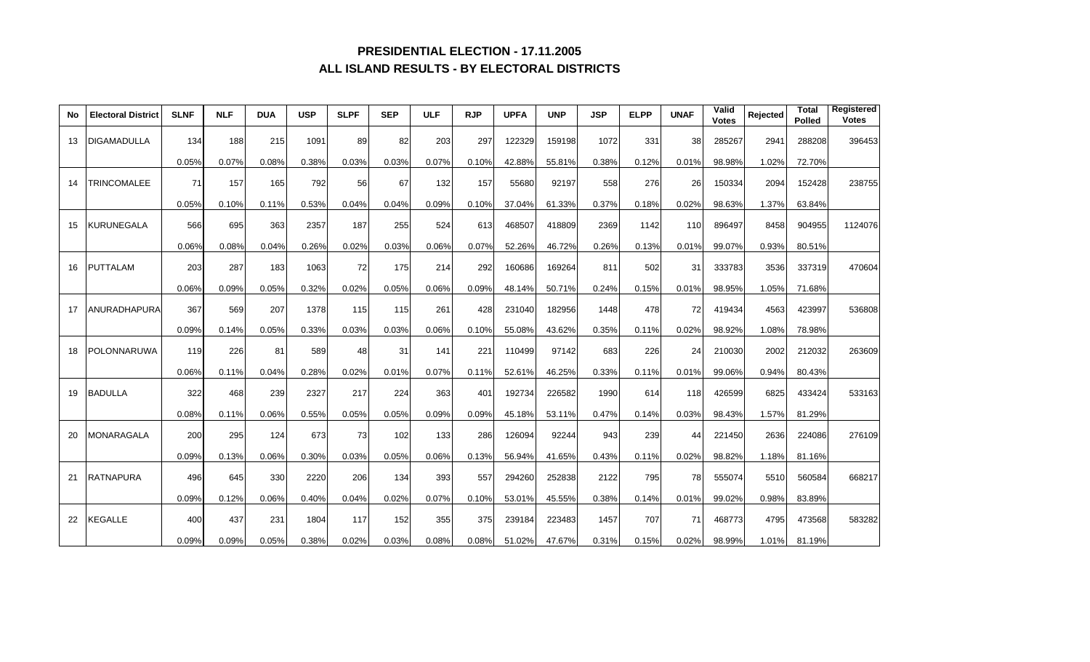## **PRESIDENTIAL ELECTION - 17.11.2005 ALL ISLAND RESULTS - BY ELECTORAL DISTRICTS**

| No | <b>Electoral District</b> | <b>SLNF</b> | <b>NLF</b> | <b>DUA</b> | <b>USP</b> | <b>SLPF</b> | <b>SEP</b> | <b>ULF</b> | <b>RJP</b> | <b>UPFA</b> | <b>UNP</b> | <b>JSP</b> | <b>ELPP</b> | <b>UNAF</b> | Valid<br><b>Votes</b> | Rejected | <b>Total</b><br><b>Polled</b> | <b>Registered</b><br><b>Votes</b> |
|----|---------------------------|-------------|------------|------------|------------|-------------|------------|------------|------------|-------------|------------|------------|-------------|-------------|-----------------------|----------|-------------------------------|-----------------------------------|
| 13 | <b>DIGAMADULLA</b>        | 134         | 188        | 215        | 1091       | 89          | 82         | 203        | 297        | 122329      | 159198     | 1072       | 331         | 38          | 285267                | 2941     | 288208                        | 396453                            |
|    |                           | 0.05%       | 0.07%      | 0.08%      | 0.38%      | 0.03%       | 0.03%      | 0.07%      | 0.10%      | 42.88%      | 55.81%     | 0.38%      | 0.12%       | 0.01%       | 98.98%                | 1.02%    | 72.70%                        |                                   |
| 14 | TRINCOMALEE               | 71          | 157        | 165        | 792        | 56          | 67         | 132        | 157        | 55680       | 92197      | 558        | 276         | 26          | 150334                | 2094     | 152428                        | 238755                            |
|    |                           | 0.05%       | 0.10%      | 0.11%      | 0.53%      | 0.04%       | 0.04%      | 0.09%      | 0.10%      | 37.04%      | 61.33%     | 0.37%      | 0.18%       | 0.02%       | 98.63%                | 1.37%    | 63.84%                        |                                   |
| 15 | KURUNEGALA                | 566         | 695        | 363        | 2357       | 187         | 255        | 524        | 613        | 468507      | 418809     | 2369       | 1142        | 110         | 896497                | 8458     | 904955                        | 1124076                           |
|    |                           | 0.06%       | 0.08%      | 0.04%      | 0.26%      | 0.02%       | 0.03%      | 0.06%      | 0.07%      | 52.26%      | 46.72%     | 0.26%      | 0.13%       | 0.01%       | 99.07%                | 0.93%    | 80.51%                        |                                   |
| 16 | PUTTALAM                  | 203         | 287        | 183        | 1063       | 72          | 175        | 214        | 292        | 160686      | 169264     | 811        | 502         | 31          | 333783                | 3536     | 337319                        | 470604                            |
|    |                           | 0.06%       | 0.09%      | 0.05%      | 0.32%      | 0.02%       | 0.05%      | 0.06%      | 0.09%      | 48.14%      | 50.71%     | 0.24%      | 0.15%       | 0.01%       | 98.95%                | 1.05%    | 71.68%                        |                                   |
| 17 | ANURADHAPURA              | 367         | 569        | 207        | 1378       | 115         | 115        | 261        | 428        | 231040      | 182956     | 1448       | 478         | 72          | 419434                | 4563     | 423997                        | 536808                            |
|    |                           | 0.09%       | 0.14%      | 0.05%      | 0.33%      | 0.03%       | 0.03%      | 0.06%      | 0.10%      | 55.08%      | 43.62%     | 0.35%      | 0.11%       | 0.02%       | 98.92%                | 1.08%    | 78.98%                        |                                   |
| 18 | POLONNARUWA               | 119         | 226        | 81         | 589        | 48          | 31         | 141        | 221        | 110499      | 97142      | 683        | 226         | 24          | 210030                | 2002     | 212032                        | 263609                            |
|    |                           | 0.06%       | 0.11%      | 0.04%      | 0.28%      | 0.02%       | 0.01%      | 0.07%      | 0.11%      | 52.61%      | 46.25%     | 0.33%      | 0.11%       | 0.01%       | 99.06%                | 0.94%    | 80.43%                        |                                   |
| 19 | <b>BADULLA</b>            | 322         | 468        | 239        | 2327       | 217         | 224        | 363        | 401        | 192734      | 226582     | 1990       | 614         | 118         | 426599                | 6825     | 433424                        | 533163                            |
|    |                           | 0.08%       | 0.11%      | 0.06%      | 0.55%      | 0.05%       | 0.05%      | 0.09%      | 0.09%      | 45.18%      | 53.11%     | 0.47%      | 0.14%       | 0.03%       | 98.43%                | 1.57%    | 81.29%                        |                                   |
| 20 | <b>MONARAGALA</b>         | 200         | 295        | 124        | 673        | 73          | 102        | 133        | 286        | 126094      | 92244      | 943        | 239         | 44          | 221450                | 2636     | 224086                        | 276109                            |
|    |                           | 0.09%       | 0.13%      | 0.06%      | 0.30%      | 0.03%       | 0.05%      | 0.06%      | 0.13%      | 56.94%      | 41.65%     | 0.43%      | 0.11%       | 0.02%       | 98.82%                | 1.18%    | 81.16%                        |                                   |
| 21 | <b>RATNAPURA</b>          | 496         | 645        | 330        | 2220       | 206         | 134        | 393        | 557        | 294260      | 252838     | 2122       | 795         | 78          | 555074                | 5510     | 560584                        | 668217                            |
|    |                           | 0.09%       | 0.12%      | 0.06%      | 0.40%      | 0.04%       | 0.02%      | 0.07%      | 0.10%      | 53.01%      | 45.55%     | 0.38%      | 0.14%       | 0.01%       | 99.02%                | 0.98%    | 83.89%                        |                                   |
| 22 | KEGALLE                   | 400         | 437        | 231        | 1804       | 117         | 152        | 355        | 375        | 239184      | 223483     | 1457       | 707         | 71          | 468773                | 4795     | 473568                        | 583282                            |
|    |                           | 0.09%       | 0.09%      | 0.05%      | 0.38%      | 0.02%       | 0.03%      | 0.08%      | 0.08%      | 51.02%      | 47.67%     | 0.31%      | 0.15%       | 0.02%       | 98.99%                | 1.01%    | 81.19%                        |                                   |